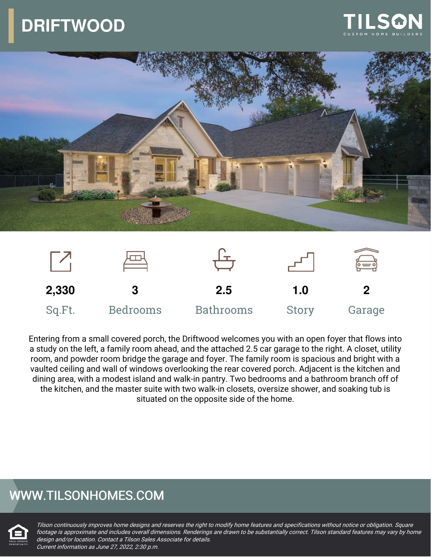# **DRIFTWOOD**







Entering from a small covered porch, the Driftwood welcomes you with an open foyer that flows into a study on the left, a family room ahead, and the attached 2.5 car garage to the right. A closet, utility room, and powder room bridge the garage and foyer. The family room is spacious and bright with a vaulted ceiling and wall of windows overlooking the rear covered porch. Adjacent is the kitchen and dining area, with a modest island and walk-in pantry. Two bedrooms and a bathroom branch off of the kitchen, and the master suite with two walk-in closets, oversize shower, and soaking tub is situated on the opposite side of the home.

### WWW.TILSONHOMES.COM



Tilson continuously improves home designs and reserves the right to modify home features and specifications without notice or obligation. Square footage is approximate and includes overall dimensions. Renderings are drawn to be substantially correct. Tilson standard features may vary by home design and/or location. Contact <sup>a</sup> Tilson Sales Associate for details. Current information as June 27, 2022, 2:30 p.m.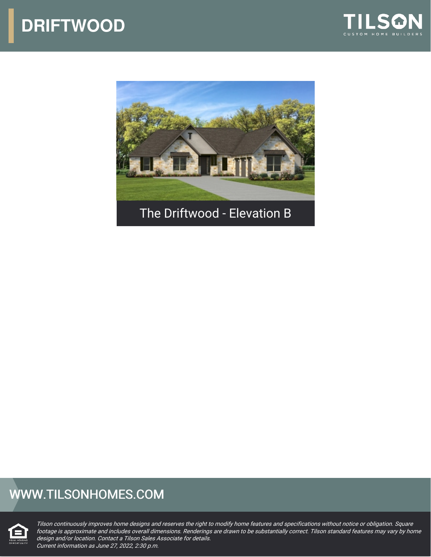



## WWW.TILSONHOMES.COM



Tilson continuously improves home designs and reserves the right to modify home features and specifications without notice or obligation. Square footage is approximate and includes overall dimensions. Renderings are drawn to be substantially correct. Tilson standard features may vary by home design and/or location. Contact <sup>a</sup> Tilson Sales Associate for details. Current information as June 27, 2022, 2:30 p.m.